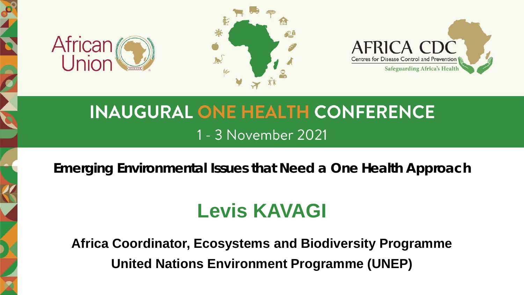





## **INAUGURAL ONE HEALTH CONFERENCE** 1 - 3 November 2021

*Emerging Environmental Issues that Need a One Health Approach*

## **Levis KAVAGI**

**Africa Coordinator, Ecosystems and Biodiversity Programme United Nations Environment Programme (UNEP)**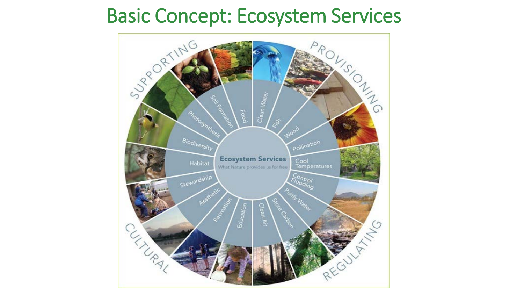## Basic Concept: Ecosystem Services

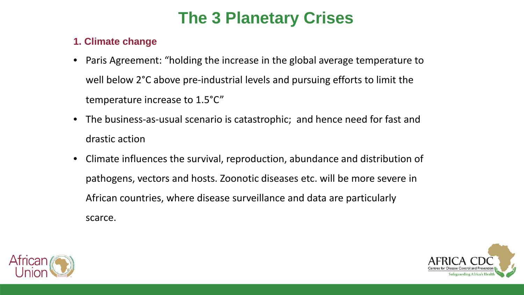## **The 3 Planetary Crises**

#### **1. Climate change**

- Paris Agreement: "holding the increase in the global average temperature to well below 2°C above pre-industrial levels and pursuing efforts to limit the temperature increase to 1.5°C"
- The business-as-usual scenario is catastrophic; and hence need for fast and drastic action
- Climate influences the survival, reproduction, abundance and distribution of pathogens, vectors and hosts. Zoonotic diseases etc. will be more severe in African countries, where disease surveillance and data are particularly scarce.



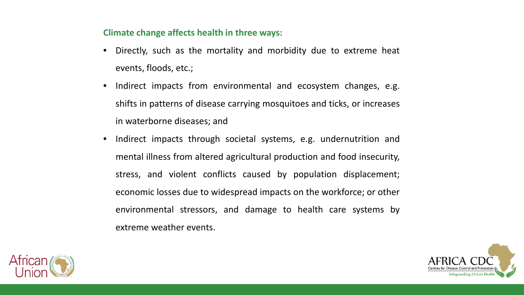#### **Climate change affects health in three ways:**

- Directly, such as the mortality and morbidity due to extreme heat events, floods, etc.;
- Indirect impacts from environmental and ecosystem changes, e.g. shifts in patterns of disease carrying mosquitoes and ticks, or increases in waterborne diseases; and
- Indirect impacts through societal systems, e.g. undernutrition and mental illness from altered agricultural production and food insecurity, stress, and violent conflicts caused by population displacement; economic losses due to widespread impacts on the workforce; or other environmental stressors, and damage to health care systems by extreme weather events.



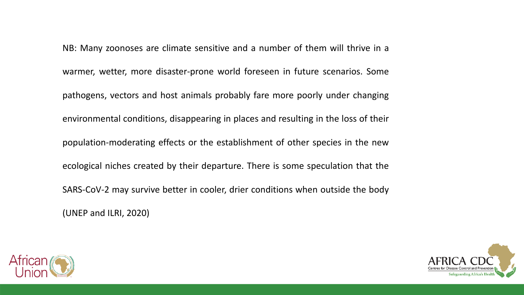NB: Many zoonoses are climate sensitive and a number of them will thrive in a warmer, wetter, more disaster-prone world foreseen in future scenarios. Some pathogens, vectors and host animals probably fare more poorly under changing environmental conditions, disappearing in places and resulting in the loss of their population-moderating effects or the establishment of other species in the new ecological niches created by their departure. There is some speculation that the SARS-CoV-2 may survive better in cooler, drier conditions when outside the body (UNEP and ILRI, 2020)



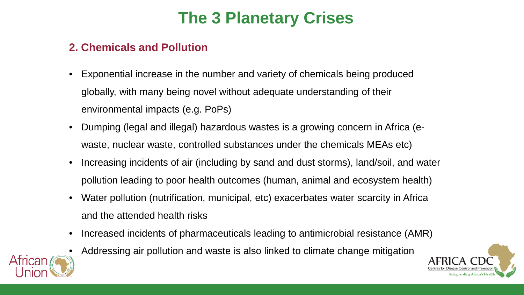## **The 3 Planetary Crises**

#### **2. Chemicals and Pollution**

- Exponential increase in the number and variety of chemicals being produced globally, with many being novel without adequate understanding of their environmental impacts (e.g. PoPs)
- Dumping (legal and illegal) hazardous wastes is a growing concern in Africa (ewaste, nuclear waste, controlled substances under the chemicals MEAs etc)
- Increasing incidents of air (including by sand and dust storms), land/soil, and water pollution leading to poor health outcomes (human, animal and ecosystem health)
- Water pollution (nutrification, municipal, etc) exacerbates water scarcity in Africa and the attended health risks
- Increased incidents of pharmaceuticals leading to antimicrobial resistance (AMR)
- Addressing air pollution and waste is also linked to climate change mitigation



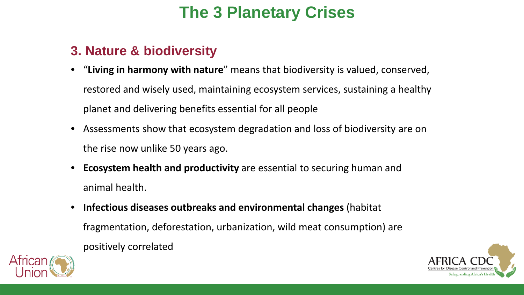## **The 3 Planetary Crises**

### **3. Nature & biodiversity**

- "**Living in harmony with nature**" means that biodiversity is valued, conserved, restored and wisely used, maintaining ecosystem services, sustaining a healthy planet and delivering benefits essential for all people
- Assessments show that ecosystem degradation and loss of biodiversity are on the rise now unlike 50 years ago.
- **Ecosystem health and productivity** are essential to securing human and animal health.
- **Infectious diseases outbreaks and environmental changes** (habitat fragmentation, deforestation, urbanization, wild meat consumption) are positively correlated



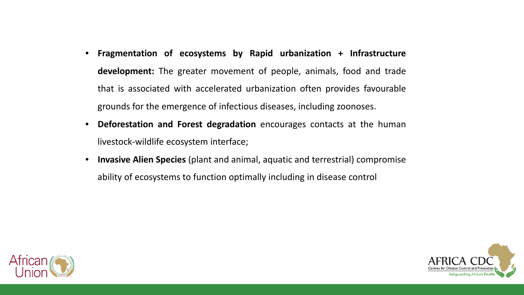- **Fragmentation of ecosystems by Rapid urbanization + Infrastructure development:** The greater movement of people, animals, food and trade that is associated with accelerated urbanization often provides favourable grounds for the emergence of infectious diseases, including zoonoses.
- **Deforestation and Forest degradation** encourages contacts at the human livestock-wildlife ecosystem interface;
- **Invasive Alien Species** (plant and animal, aquatic and terrestrial) compromise ability of ecosystems to function optimally including in disease control